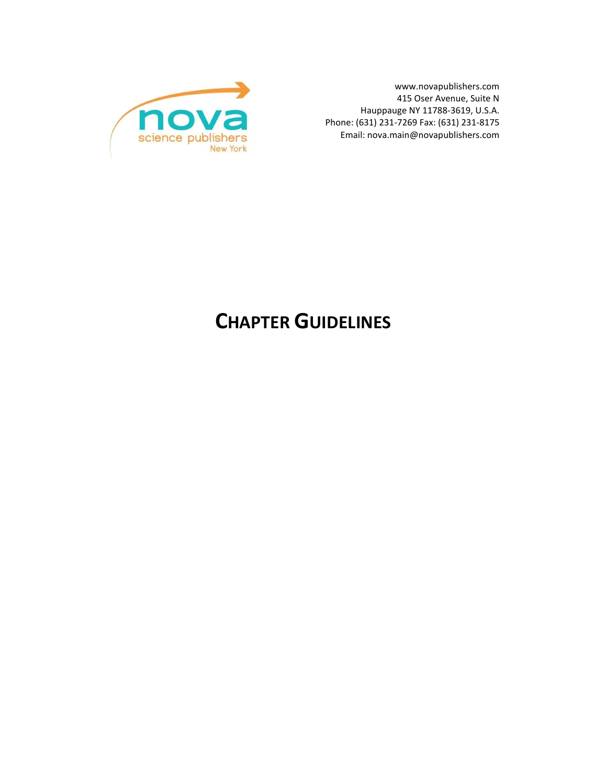www.novapublishers.com 415 Oser Avenue, Suite N Hauppauge NY 11788-3619, U.S.A. Phone: (631) 231-7269 Fax: (631) 231-8175 Email[: nova.main@novapublishers.com](mailto:nova.main@novapublishers.com)



# **CHAPTER GUIDELINES**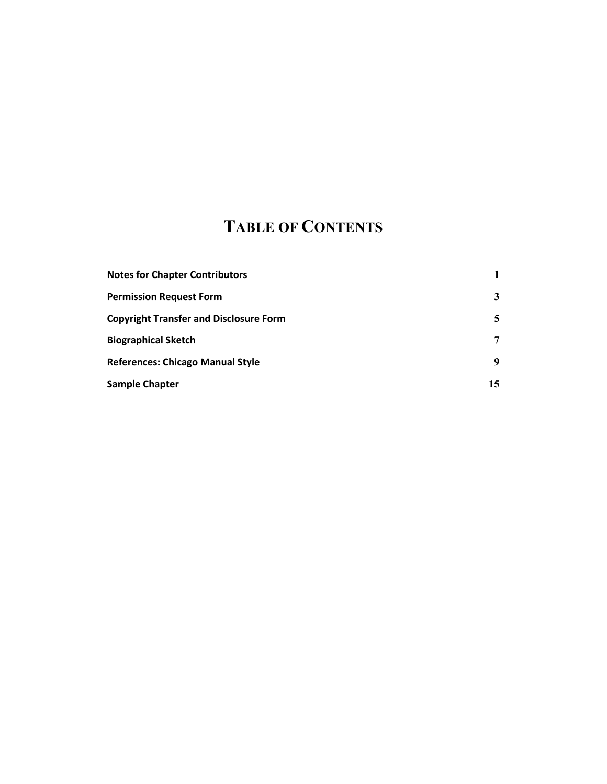# **TABLE OF CONTENTS**

| <b>Notes for Chapter Contributors</b>         |    |
|-----------------------------------------------|----|
| <b>Permission Request Form</b>                | 3  |
| <b>Copyright Transfer and Disclosure Form</b> | 5  |
| <b>Biographical Sketch</b>                    | 7  |
| <b>References: Chicago Manual Style</b>       | 9  |
| <b>Sample Chapter</b>                         | 15 |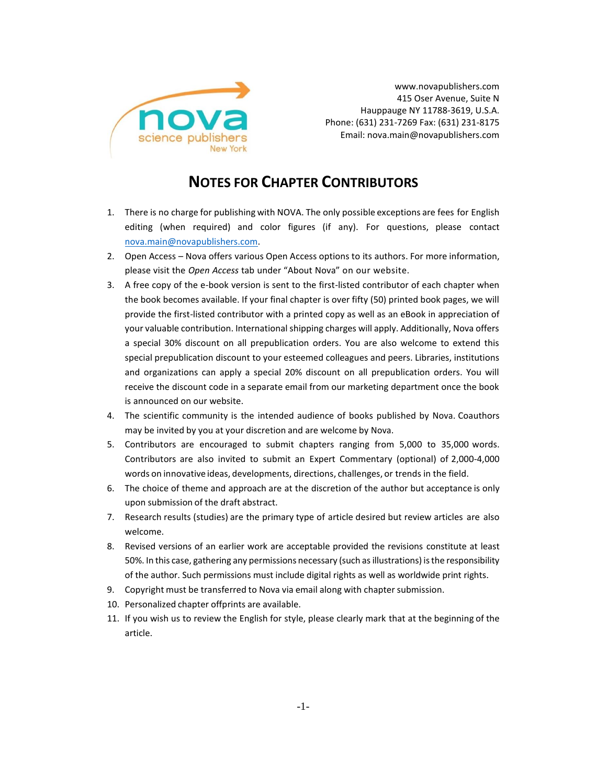

www.novapublishers.com 415 Oser Avenue, Suite N Hauppauge NY 11788-3619, U.S.A. Phone: (631) 231-7269 Fax: (631) 231-8175 Email[: nova.main@novapublishers.com](mailto:nova.main@novapublishers.com)

# **NOTES FOR CHAPTER CONTRIBUTORS**

- 1. There is no charge for publishing with NOVA. The only possible exceptions are fees for English editing (when required) and color figures (if any). For questions, please contact [nova.main@novapublishers.com.](mailto:nova.main@novapublishers.com)
- 2. Open Access Nova offers various Open Access options to its authors. For more information, please visit the *Open Access* tab under "About Nova" on our website.
- 3. A free copy of the e-book version is sent to the first-listed contributor of each chapter when the book becomes available. If your final chapter is over fifty (50) printed book pages, we will provide the first-listed contributor with a printed copy as well as an eBook in appreciation of your valuable contribution. International shipping charges will apply. Additionally, Nova offers a special 30% discount on all prepublication orders. You are also welcome to extend this special prepublication discount to your esteemed colleagues and peers. Libraries, institutions and organizations can apply a special 20% discount on all prepublication orders. You will receive the discount code in a separate email from our marketing department once the book is announced on our website.
- 4. The scientific community is the intended audience of books published by Nova. Coauthors may be invited by you at your discretion and are welcome by Nova.
- 5. Contributors are encouraged to submit chapters ranging from 5,000 to 35,000 words. Contributors are also invited to submit an Expert Commentary (optional) of 2,000-4,000 words on innovative ideas, developments, directions, challenges, or trends in the field.
- 6. The choice of theme and approach are at the discretion of the author but acceptance is only upon submission of the draft abstract.
- 7. Research results (studies) are the primary type of article desired but review articles are also welcome.
- 8. Revised versions of an earlier work are acceptable provided the revisions constitute at least 50%. In this case, gathering any permissions necessary (such as illustrations) is the responsibility of the author. Such permissions must include digital rights as well as worldwide print rights.
- 9. Copyright must be transferred to Nova via email along with chapter submission.
- 10. Personalized chapter offprints are available.
- 11. If you wish us to review the English for style, please clearly mark that at the beginning of the article.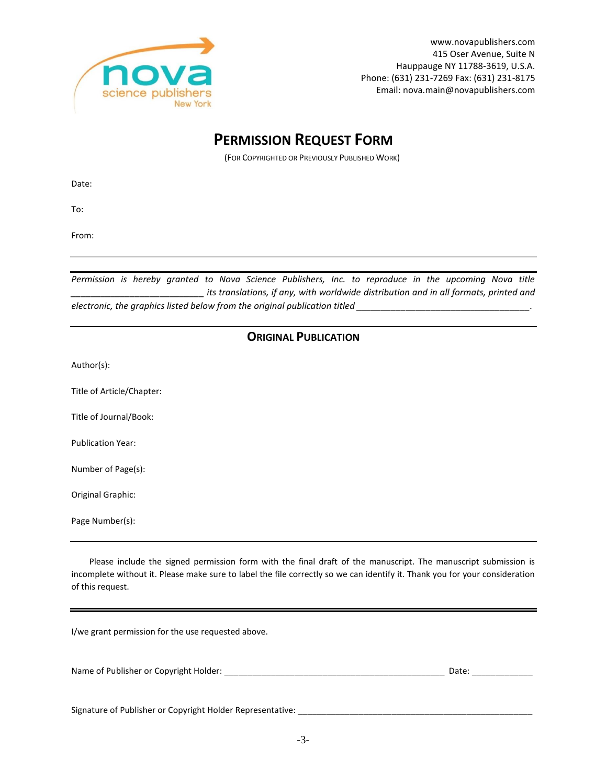

# **PERMISSION REQUEST FORM**

(FOR COPYRIGHTED OR PREVIOUSLY PUBLISHED WORK)

Date:

To:

From:

*Permission is hereby granted to Nova Science Publishers, Inc. to reproduce in the upcoming Nova title its translations, if any, with worldwide distribution and in all formats, printed and electronic, the graphics listed below from the original publication titled \_\_\_\_\_\_\_\_\_\_\_\_\_\_\_\_\_\_\_\_\_\_\_\_\_\_\_\_\_\_\_\_\_\_\_.*

### **ORIGINAL PUBLICATION**

Author(s):

Title of Article/Chapter:

Title of Journal/Book:

Publication Year:

Number of Page(s):

Original Graphic:

Page Number(s):

Please include the signed permission form with the final draft of the manuscript. The manuscript submission is incomplete without it. Please make sure to label the file correctly so we can identify it. Thank you for your consideration of this request.

I/we grant permission for the use requested above.

| Name of Publisher or Copyright Holder: |  | Date. |
|----------------------------------------|--|-------|
|----------------------------------------|--|-------|

Signature of Publisher or Copyright Holder Representative: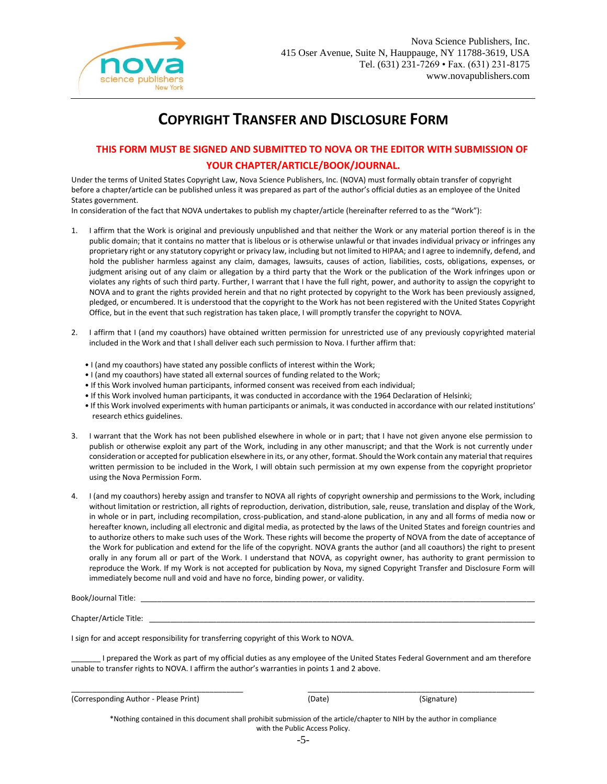

# **COPYRIGHT TRANSFER AND DISCLOSURE FORM**

### **THIS FORM MUST BE SIGNED AND SUBMITTED TO NOVA OR THE EDITOR WITH SUBMISSION OF YOUR CHAPTER/ARTICLE/BOOK/JOURNAL.**

Under the terms of United States Copyright Law, Nova Science Publishers, Inc. (NOVA) must formally obtain transfer of copyright before a chapter/article can be published unless it was prepared as part of the author's official duties as an employee of the United States government.

In consideration of the fact that NOVA undertakes to publish my chapter/article (hereinafter referred to as the "Work"):

- 1. I affirm that the Work is original and previously unpublished and that neither the Work or any material portion thereof is in the public domain; that it contains no matter that is libelous or is otherwise unlawful or that invades individual privacy or infringes any proprietary right or any statutory copyright or privacy law, including but not limited to HIPAA; and I agree to indemnify, defend, and hold the publisher harmless against any claim, damages, lawsuits, causes of action, liabilities, costs, obligations, expenses, or judgment arising out of any claim or allegation by a third party that the Work or the publication of the Work infringes upon or violates any rights of such third party. Further, I warrant that I have the full right, power, and authority to assign the copyright to NOVA and to grant the rights provided herein and that no right protected by copyright to the Work has been previously assigned, pledged, or encumbered. It is understood that the copyright to the Work has not been registered with the United States Copyright Office, but in the event that such registration has taken place, I will promptly transfer the copyright to NOVA.
- 2. I affirm that I (and my coauthors) have obtained written permission for unrestricted use of any previously copyrighted material included in the Work and that I shall deliver each such permission to Nova. I further affirm that:
	- I (and my coauthors) have stated any possible conflicts of interest within the Work;
	- I (and my coauthors) have stated all external sources of funding related to the Work;
	- If this Work involved human participants, informed consent was received from each individual;
	- If this Work involved human participants, it was conducted in accordance with the 1964 Declaration of Helsinki;
	- If this Work involved experiments with human participants or animals, it was conducted in accordance with our related institutions' research ethics guidelines.
- 3. I warrant that the Work has not been published elsewhere in whole or in part; that I have not given anyone else permission to publish or otherwise exploit any part of the Work, including in any other manuscript; and that the Work is not currently under consideration or accepted for publication elsewhere in its, or any other, format. Should the Work contain any material that requires written permission to be included in the Work, I will obtain such permission at my own expense from the copyright proprietor using the Nova Permission Form.
- 4. I (and my coauthors) hereby assign and transfer to NOVA all rights of copyright ownership and permissions to the Work, including without limitation or restriction, all rights of reproduction, derivation, distribution, sale, reuse, translation and display of the Work, in whole or in part, including recompilation, cross-publication, and stand-alone publication, in any and all forms of media now or hereafter known, including all electronic and digital media, as protected by the laws of the United States and foreign countries and to authorize others to make such uses of the Work. These rights will become the property of NOVA from the date of acceptance of the Work for publication and extend for the life of the copyright. NOVA grants the author (and all coauthors) the right to present orally in any forum all or part of the Work. I understand that NOVA, as copyright owner, has authority to grant permission to reproduce the Work. If my Work is not accepted for publication by Nova, my signed Copyright Transfer and Disclosure Form will immediately become null and void and have no force, binding power, or validity.

| Book/Journal Title:    |  |
|------------------------|--|
|                        |  |
| Chapter/Article Title: |  |

I sign for and accept responsibility for transferring copyright of this Work to NOVA.

\_\_\_\_\_\_\_ I prepared the Work as part of my official duties as any employee of the United States Federal Government and am therefore unable to transfer rights to NOVA. I affirm the author's warranties in points 1 and 2 above.

\_\_\_\_\_\_\_\_\_\_\_\_\_\_\_\_\_\_\_\_\_\_\_\_\_\_\_\_\_\_\_\_\_\_\_\_\_\_\_\_\_ \_\_\_\_\_\_\_\_\_\_\_\_\_\_\_\_\_\_\_\_\_\_\_\_\_\_\_\_\_\_\_\_\_\_\_\_\_\_\_\_\_\_\_\_\_\_\_\_\_\_\_\_\_\_

| (Corresponding Author - Please Print) | (Date) | (Signature) |
|---------------------------------------|--------|-------------|
|---------------------------------------|--------|-------------|

\*Nothing contained in this document shall prohibit submission of the article/chapter to NIH by the author in compliance with the Public Access Policy.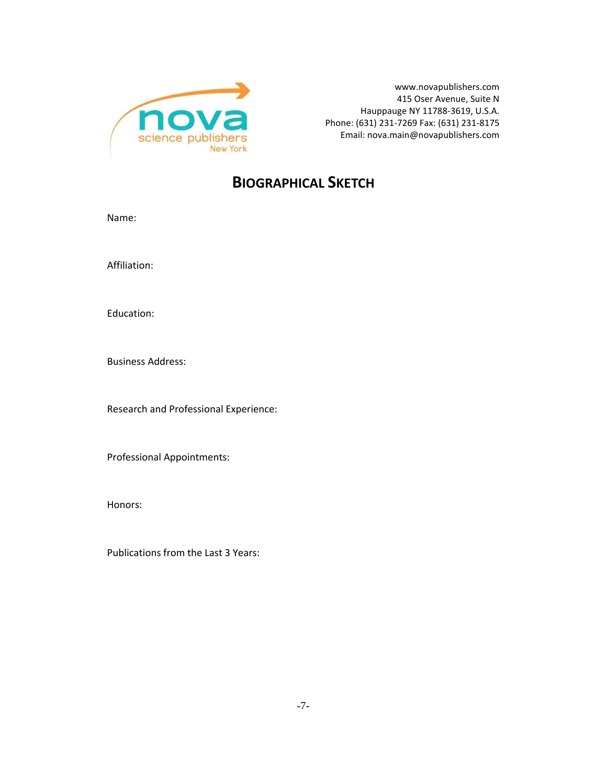

www.novapublishers.com 415 Oser Avenue, Suite N Hauppauge NY 11788-3619, U.S.A. Phone: (631) 231-7269 Fax: (631) 231-8175 Email[: nova.main@novapublishers.com](mailto:nova.main@novapublishers.com)

## **BIOGRAPHICAL SKETCH**

Name:

Affiliation:

Education:

Business Address:

Research and Professional Experience:

Professional Appointments:

Honors:

Publications from the Last 3 Years: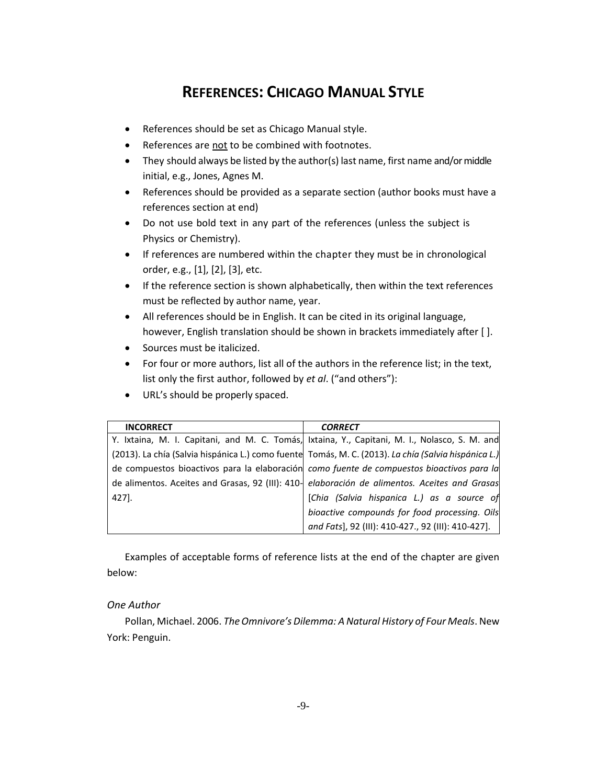## **REFERENCES: CHICAGO MANUAL STYLE**

- References should be set as Chicago Manual style.
- References are not to be combined with footnotes.
- They should always be listed by the author(s) last name, first name and/or middle initial, e.g., Jones, Agnes M.
- References should be provided as a separate section (author books must have a references section at end)
- Do not use bold text in any part of the references (unless the subject is Physics or Chemistry).
- If references are numbered within the chapter they must be in chronological order, e.g., [1], [2], [3], etc.
- If the reference section is shown alphabetically, then within the text references must be reflected by author name, year.
- All references should be in English. It can be cited in its original language, however, English translation should be shown in brackets immediately after [ ].
- Sources must be italicized.
- For four or more authors, list all of the authors in the reference list; in the text, list only the first author, followed by *et al*. ("and others"):
- URL's should be properly spaced.

| <b>INCORRECT</b> | <b>CORRECT</b>                                                                                       |
|------------------|------------------------------------------------------------------------------------------------------|
|                  | Y. Ixtaina, M. I. Capitani, and M. C. Tomás, Ixtaina, Y., Capitani, M. I., Nolasco, S. M. and        |
|                  | (2013). La chía (Salvia hispánica L.) como fuente Tomás, M. C. (2013). La chía (Salvia hispánica L.) |
|                  | de compuestos bioactivos para la elaboración como fuente de compuestos bioactivos para la            |
|                  | de alimentos. Aceites and Grasas, 92 (III): 410- elaboración de alimentos. Aceites and Grasas        |
| 427].            | [Chia (Salvia hispanica L.) as a source of                                                           |
|                  | bioactive compounds for food processing. Oils                                                        |
|                  | and Fats], 92 (III): 410-427., 92 (III): 410-427].                                                   |

Examples of acceptable forms of reference lists at the end of the chapter are given below:

### *One Author*

Pollan, Michael. 2006. *The Omnivore's Dilemma: A Natural History of Four Meals*. New York: Penguin.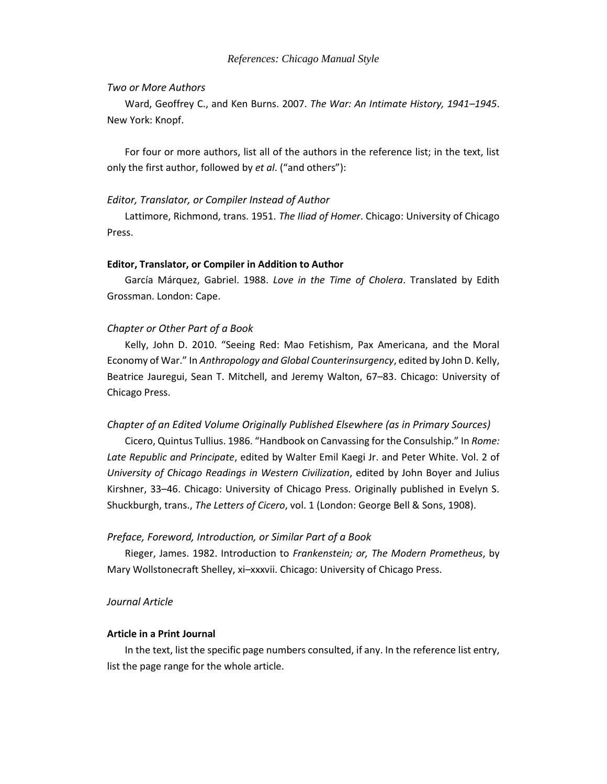### *Two or More Authors*

Ward, Geoffrey C., and Ken Burns. 2007. *The War: An Intimate History, 1941–1945*. New York: Knopf.

For four or more authors, list all of the authors in the reference list; in the text, list only the first author, followed by *et al*. ("and others"):

### *Editor, Translator, or Compiler Instead of Author*

Lattimore, Richmond, trans. 1951. *The Iliad of Homer*. Chicago: University of Chicago Press.

### **Editor, Translator, or Compiler in Addition to Author**

García Márquez, Gabriel. 1988. *Love in the Time of Cholera*. Translated by Edith Grossman. London: Cape.

### *Chapter or Other Part of a Book*

Kelly, John D. 2010. "Seeing Red: Mao Fetishism, Pax Americana, and the Moral Economy of War." In *Anthropology and Global Counterinsurgency*, edited by John D. Kelly, Beatrice Jauregui, Sean T. Mitchell, and Jeremy Walton, 67–83. Chicago: University of Chicago Press.

#### *Chapter of an Edited Volume Originally Published Elsewhere (as in Primary Sources)*

Cicero, Quintus Tullius. 1986. "Handbook on Canvassing for the Consulship." In *Rome: Late Republic and Principate*, edited by Walter Emil Kaegi Jr. and Peter White. Vol. 2 of *University of Chicago Readings in Western Civilization*, edited by John Boyer and Julius Kirshner, 33–46. Chicago: University of Chicago Press. Originally published in Evelyn S. Shuckburgh, trans., *The Letters of Cicero*, vol. 1 (London: George Bell & Sons, 1908).

### *Preface, Foreword, Introduction, or Similar Part of a Book*

Rieger, James. 1982. Introduction to *Frankenstein; or, The Modern Prometheus*, by Mary Wollstonecraft Shelley, xi–xxxvii. Chicago: University of Chicago Press.

### *Journal Article*

### **Article in a Print Journal**

In the text, list the specific page numbers consulted, if any. In the reference list entry, list the page range for the whole article.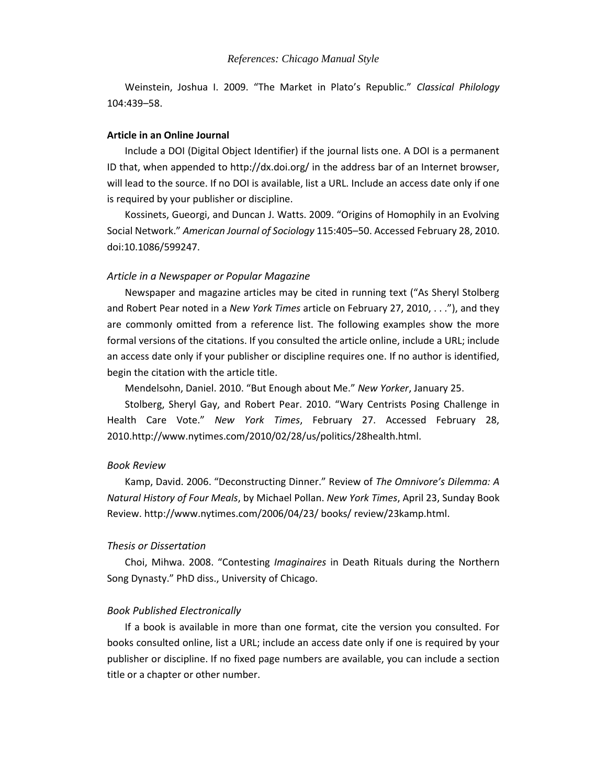Weinstein, Joshua I. 2009. "The Market in Plato's Republic." *Classical Philology* 104:439–58.

### **Article in an Online Journal**

Include a DOI (Digital Object Identifier) if the journal lists one. A DOI is a permanent ID that, when appended to http://dx.doi.org/ in the address bar of an Internet browser, will lead to the source. If no DOI is available, list a URL. Include an access date only if one is required by your publisher or discipline.

Kossinets, Gueorgi, and Duncan J. Watts. 2009. "Origins of Homophily in an Evolving Social Network." *American Journal of Sociology* 115:405–50. Accessed February 28, 2010. doi:10.1086/599247.

### *Article in a Newspaper or Popular Magazine*

Newspaper and magazine articles may be cited in running text ("As Sheryl Stolberg and Robert Pear noted in a *New York Times* article on February 27, 2010, . . ."), and they are commonly omitted from a reference list. The following examples show the more formal versions of the citations. If you consulted the article online, include a URL; include an access date only if your publisher or discipline requires one. If no author is identified, begin the citation with the article title.

Mendelsohn, Daniel. 2010. "But Enough about Me." *New Yorker*, January 25.

Stolberg, Sheryl Gay, and Robert Pear. 2010. "Wary Centrists Posing Challenge in Health Care Vote." *New York Times*, February 27. Accessed February 28, 2010.http://www.nytimes.com/2010/02/28/us/politics/28health.html.

### *Book Review*

Kamp, David. 2006. "Deconstructing Dinner." Review of *The Omnivore's Dilemma: A Natural History of Four Meals*, by Michael Pollan. *New York Times*, April 23, Sunday Book Review. http://www.nytimes.com/2006/04/23/ books/ review/23kamp.html.

#### *Thesis or Dissertation*

Choi, Mihwa. 2008. "Contesting *Imaginaires* in Death Rituals during the Northern Song Dynasty." PhD diss., University of Chicago.

### *Book Published Electronically*

If a book is available in more than one format, cite the version you consulted. For books consulted online, list a URL; include an access date only if one is required by your publisher or discipline. If no fixed page numbers are available, you can include a section title or a chapter or other number.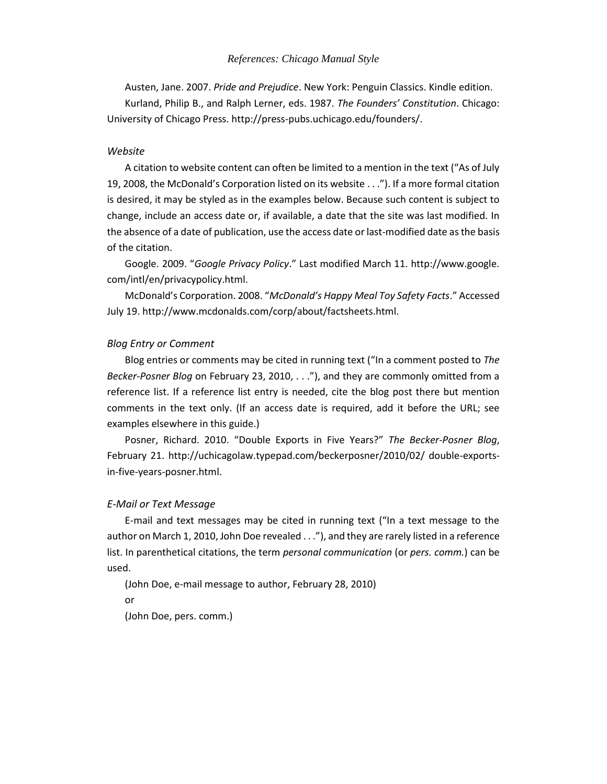### *References: Chicago Manual Style*

Austen, Jane. 2007. *Pride and Prejudice*. New York: Penguin Classics. Kindle edition. Kurland, Philip B., and Ralph Lerner, eds. 1987. *The Founders' Constitution*. Chicago: University of Chicago Press. http://press-pubs.uchicago.edu/founders/.

### *Website*

A citation to website content can often be limited to a mention in the text ("As of July 19, 2008, the McDonald's Corporation listed on its website . . ."). If a more formal citation is desired, it may be styled as in the examples below. Because such content is subject to change, include an access date or, if available, a date that the site was last modified. In the absence of a date of publication, use the access date or last-modified date as the basis of the citation.

Google. 2009. "*Google Privacy Policy*." Last modified March 11. http://www.google. com/intl/en/privacypolicy.html.

McDonald's Corporation. 2008. "*McDonald's Happy Meal Toy Safety Facts*." Accessed July 19. http://www.mcdonalds.com/corp/about/factsheets.html.

### *Blog Entry or Comment*

Blog entries or comments may be cited in running text ("In a comment posted to *The Becker-Posner Blog* on February 23, 2010, . . ."), and they are commonly omitted from a reference list. If a reference list entry is needed, cite the blog post there but mention comments in the text only. (If an access date is required, add it before the URL; see examples elsewhere in this guide.)

Posner, Richard. 2010. "Double Exports in Five Years?" *The Becker-Posner Blog*, February 21. http://uchicagolaw.typepad.com/beckerposner/2010/02/ double-exportsin-five-years-posner.html.

### *E-Mail or Text Message*

E-mail and text messages may be cited in running text ("In a text message to the author on March 1, 2010, John Doe revealed . . ."), and they are rarely listed in a reference list. In parenthetical citations, the term *personal communication* (or *pers. comm.*) can be used.

```
(John Doe, e-mail message to author, February 28, 2010)
or
```
(John Doe, pers. comm.)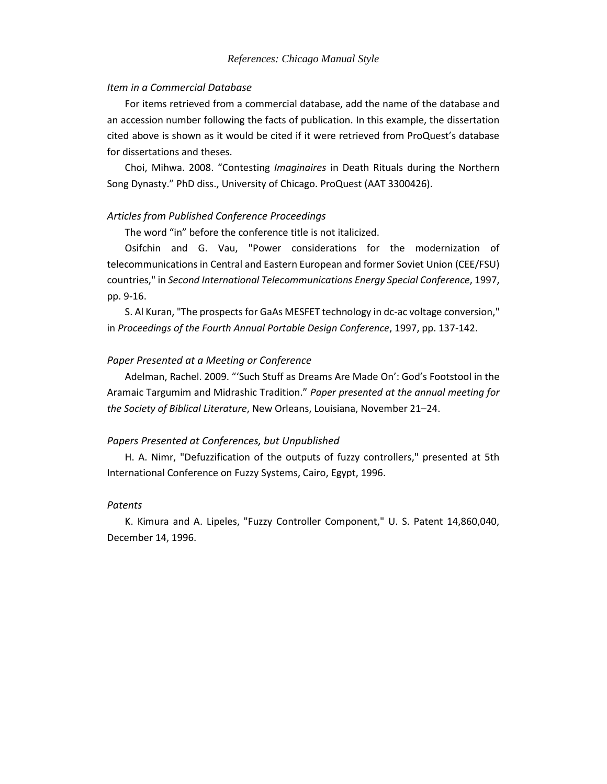### *Item in a Commercial Database*

For items retrieved from a commercial database, add the name of the database and an accession number following the facts of publication. In this example, the dissertation cited above is shown as it would be cited if it were retrieved from ProQuest's database for dissertations and theses.

Choi, Mihwa. 2008. "Contesting *Imaginaires* in Death Rituals during the Northern Song Dynasty." PhD diss., University of Chicago. ProQuest (AAT 3300426).

### *Articles from Published Conference Proceedings*

The word "in" before the conference title is not italicized.

Osifchin and G. Vau, "Power considerations for the modernization of telecommunications in Central and Eastern European and former Soviet Union (CEE/FSU) countries," in *Second International Telecommunications Energy Special Conference*, 1997, pp. 9-16.

S. Al Kuran, "The prospects for GaAs MESFET technology in dc-ac voltage conversion," in *Proceedings of the Fourth Annual Portable Design Conference*, 1997, pp. 137-142.

### *Paper Presented at a Meeting or Conference*

Adelman, Rachel. 2009. "'Such Stuff as Dreams Are Made On': God's Footstool in the Aramaic Targumim and Midrashic Tradition." *Paper presented at the annual meeting for the Society of Biblical Literature*, New Orleans, Louisiana, November 21–24.

### *Papers Presented at Conferences, but Unpublished*

H. A. Nimr, "Defuzzification of the outputs of fuzzy controllers," presented at 5th International Conference on Fuzzy Systems, Cairo, Egypt, 1996.

### *Patents*

K. Kimura and A. Lipeles, "Fuzzy Controller Component," U. S. Patent 14,860,040, December 14, 1996.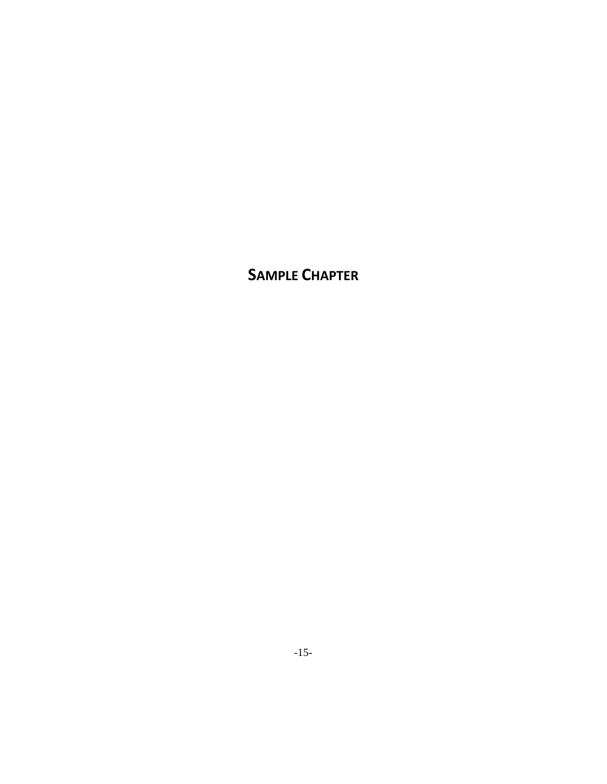**SAMPLE CHAPTER**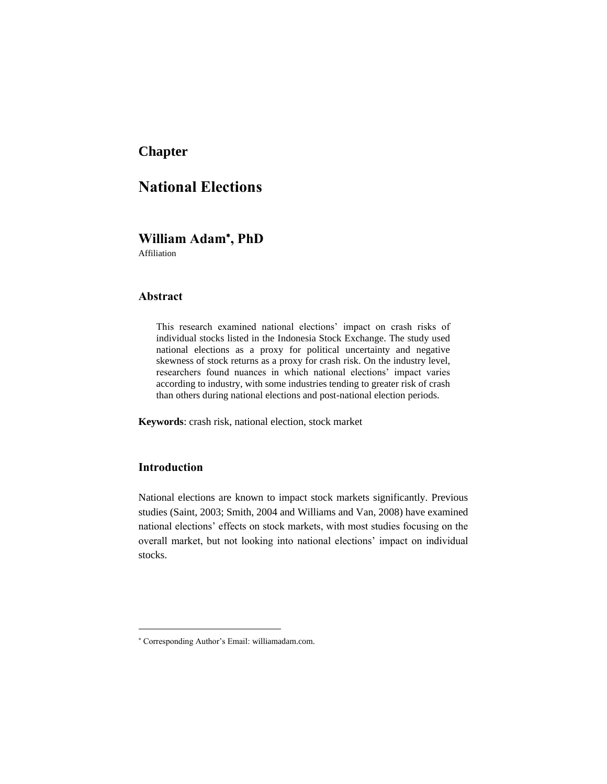### **Chapter**

### **National Elections**

### **William Adam , PhD**

Affiliation

### **Abstract**

This research examined national elections' impact on crash risks of individual stocks listed in the Indonesia Stock Exchange. The study used national elections as a proxy for political uncertainty and negative skewness of stock returns as a proxy for crash risk. On the industry level, researchers found nuances in which national elections' impact varies according to industry, with some industries tending to greater risk of crash than others during national elections and post-national election periods.

**Keywords**: crash risk, national election, stock market

### **Introduction**

National elections are known to impact stock markets significantly. Previous studies (Saint, 2003; Smith, 2004 and Williams and Van, 2008) have examined national elections' effects on stock markets, with most studies focusing on the overall market, but not looking into national elections' impact on individual stocks.

Corresponding Author's Email: williamadam.com.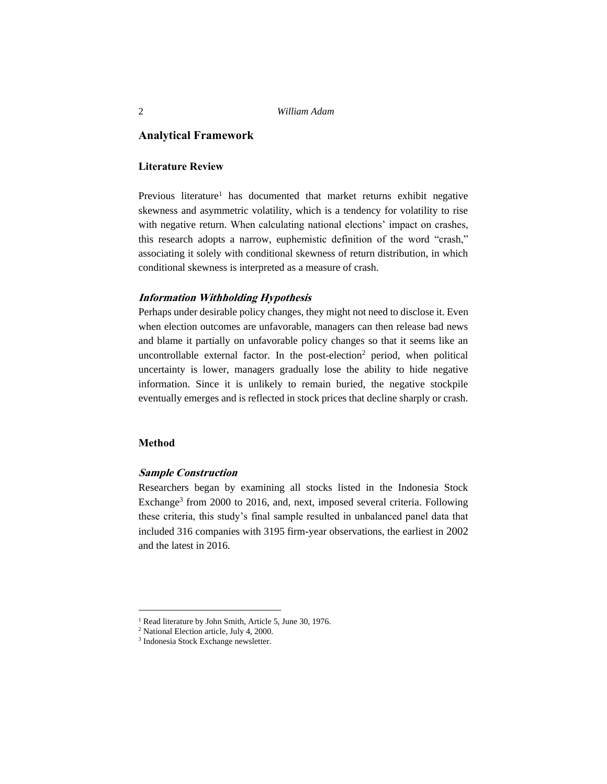### **Analytical Framework**

### **Literature Review**

Previous literature<sup>1</sup> has documented that market returns exhibit negative skewness and asymmetric volatility, which is a tendency for volatility to rise with negative return. When calculating national elections' impact on crashes, this research adopts a narrow, euphemistic definition of the word "crash," associating it solely with conditional skewness of return distribution, in which conditional skewness is interpreted as a measure of crash.

### **Information Withholding Hypothesis**

Perhaps under desirable policy changes, they might not need to disclose it. Even when election outcomes are unfavorable, managers can then release bad news and blame it partially on unfavorable policy changes so that it seems like an uncontrollable external factor. In the post-election<sup>2</sup> period, when political uncertainty is lower, managers gradually lose the ability to hide negative information. Since it is unlikely to remain buried, the negative stockpile eventually emerges and is reflected in stock prices that decline sharply or crash.

### **Method**

### **Sample Construction**

Researchers began by examining all stocks listed in the Indonesia Stock Exchange<sup>3</sup> from 2000 to 2016, and, next, imposed several criteria. Following these criteria, this study's final sample resulted in unbalanced panel data that included 316 companies with 3195 firm-year observations, the earliest in 2002 and the latest in 2016.

<sup>&</sup>lt;sup>1</sup> Read literature by John Smith, Article 5, June 30, 1976.

<sup>2</sup> National Election article, July 4, 2000.

<sup>3</sup> Indonesia Stock Exchange newsletter.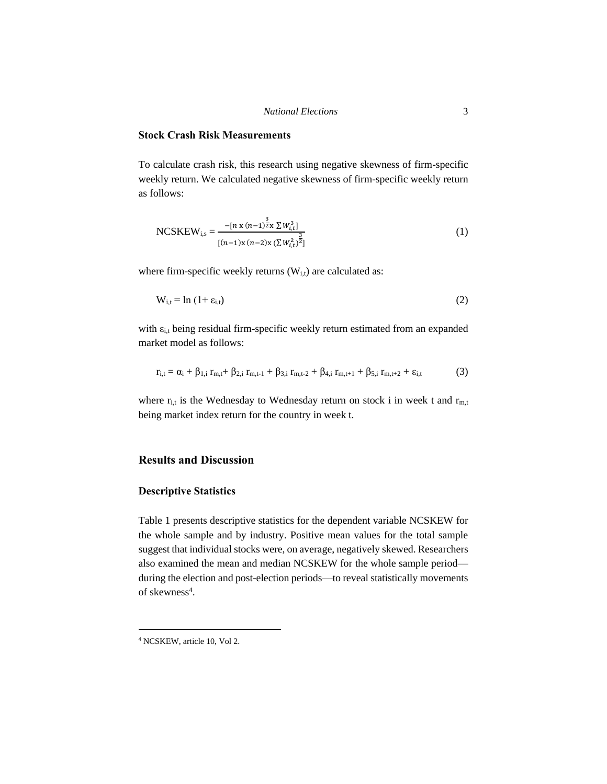#### *National Elections* 3

### **Stock Crash Risk Measurements**

To calculate crash risk, this research using negative skewness of firm-specific weekly return. We calculated negative skewness of firm-specific weekly return as follows:

NCSKEW<sub>i,s</sub> = 
$$
\frac{-[n \times (n-1)^{\frac{3}{2}} \times \sum W_{i,t}^{3}]}{[(n-1) \times (n-2) \times (\sum W_{i,t}^{2})^{\frac{3}{2}}]}
$$
(1)

where firm-specific weekly returns  $(W_{i,t})$  are calculated as:

$$
W_{i,t} = \ln(1 + \varepsilon_{i,t})
$$
 (2)

with  $\varepsilon_{i,t}$  being residual firm-specific weekly return estimated from an expanded market model as follows:

$$
r_{i,t} = \alpha_i + \beta_{1,i} r_{m,t} + \beta_{2,i} r_{m,t-1} + \beta_{3,i} r_{m,t-2} + \beta_{4,i} r_{m,t+1} + \beta_{5,i} r_{m,t+2} + \epsilon_{i,t}
$$
(3)

where  $r_{i,t}$  is the Wednesday to Wednesday return on stock i in week t and  $r_{m,t}$ being market index return for the country in week t.

### **Results and Discussion**

### **Descriptive Statistics**

Table 1 presents descriptive statistics for the dependent variable NCSKEW for the whole sample and by industry. Positive mean values for the total sample suggest that individual stocks were, on average, negatively skewed. Researchers also examined the mean and median NCSKEW for the whole sample period during the election and post-election periods—to reveal statistically movements of skewness<sup>4</sup>.

<sup>4</sup> NCSKEW, article 10, Vol 2.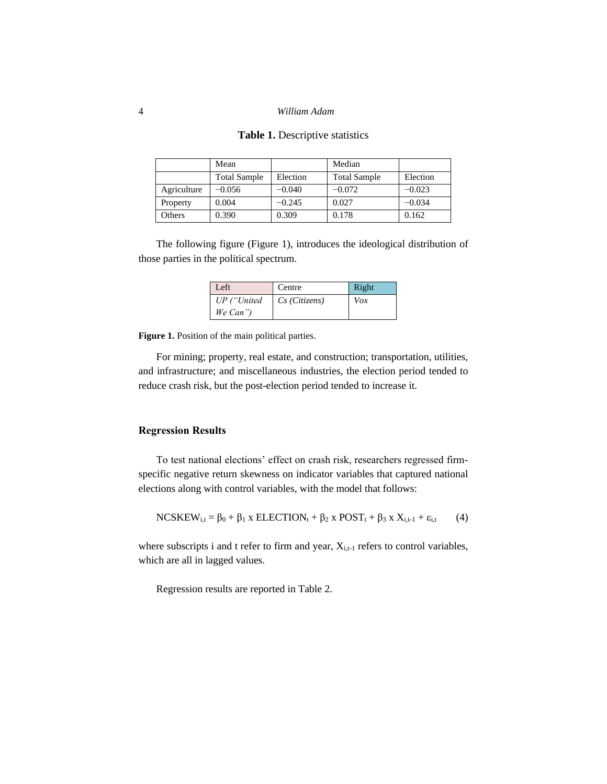|             | Mean                |          | Median              |          |
|-------------|---------------------|----------|---------------------|----------|
|             | <b>Total Sample</b> | Election | <b>Total Sample</b> | Election |
| Agriculture | $-0.056$            | $-0.040$ | $-0.072$            | $-0.023$ |
| Property    | 0.004               | $-0.245$ | 0.027               | $-0.034$ |
| Others      | 0.390               | 0.309    | 0.178               | 0.162    |

### **Table 1.** Descriptive statistics

The following figure (Figure 1), introduces the ideological distribution of those parties in the political spectrum.

| Left        | Centre        | Right |
|-------------|---------------|-------|
| UP ("United | Cs (Citizens) | Vox   |
| We Can")    |               |       |

**Figure 1.** Position of the main political parties.

For mining; property, real estate, and construction; transportation, utilities, and infrastructure; and miscellaneous industries, the election period tended to reduce crash risk, but the post-election period tended to increase it.

### **Regression Results**

To test national elections' effect on crash risk, researchers regressed firmspecific negative return skewness on indicator variables that captured national elections along with control variables, with the model that follows:

$$
NCSKEW_{i,t} = \beta_0 + \beta_1 x ELECTION_t + \beta_2 x POST_t + \beta_3 x X_{i,t-1} + \varepsilon_{i,t}
$$
 (4)

where subscripts i and t refer to firm and year,  $X_{i,t-1}$  refers to control variables, which are all in lagged values.

Regression results are reported in Table 2.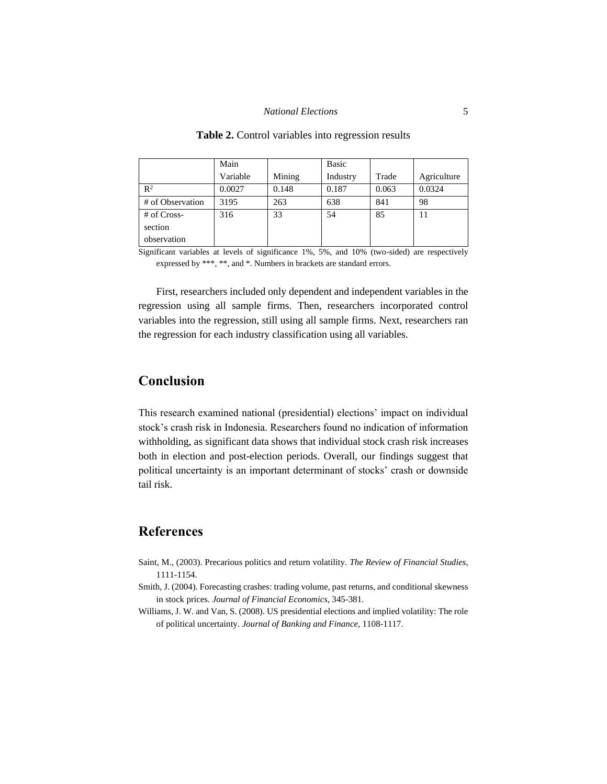#### *National Elections* 5

|                  | Main     |        | Basic    |       |             |
|------------------|----------|--------|----------|-------|-------------|
|                  | Variable | Mining | Industry | Trade | Agriculture |
| $\mathbb{R}^2$   | 0.0027   | 0.148  | 0.187    | 0.063 | 0.0324      |
| # of Observation | 3195     | 263    | 638      | 841   | 98          |
| # of Cross-      | 316      | 33     | 54       | 85    | 11          |
| section          |          |        |          |       |             |
| observation      |          |        |          |       |             |

#### Table 2. Control variables into regression results

Significant variables at levels of significance 1%, 5%, and 10% (two-sided) are respectively expressed by \*\*\*, \*\*, and \*. Numbers in brackets are standard errors.

First, researchers included only dependent and independent variables in the regression using all sample firms. Then, researchers incorporated control variables into the regression, still using all sample firms. Next, researchers ran the regression for each industry classification using all variables.

### **Conclusion**

This research examined national (presidential) elections' impact on individual stock's crash risk in Indonesia. Researchers found no indication of information withholding, as significant data shows that individual stock crash risk increases both in election and post-election periods. Overall, our findings suggest that political uncertainty is an important determinant of stocks' crash or downside tail risk.

### **References**

- Saint, M., (2003). Precarious politics and return volatility. *The Review of Financial Studies*, 1111-1154.
- Smith, J. (2004). Forecasting crashes: trading volume, past returns, and conditional skewness in stock prices. *Journal of Financial Economics*, 345-381.
- Williams, J. W. and Van, S. (2008). US presidential elections and implied volatility: The role of political uncertainty. *Journal of Banking and Finance*, 1108-1117.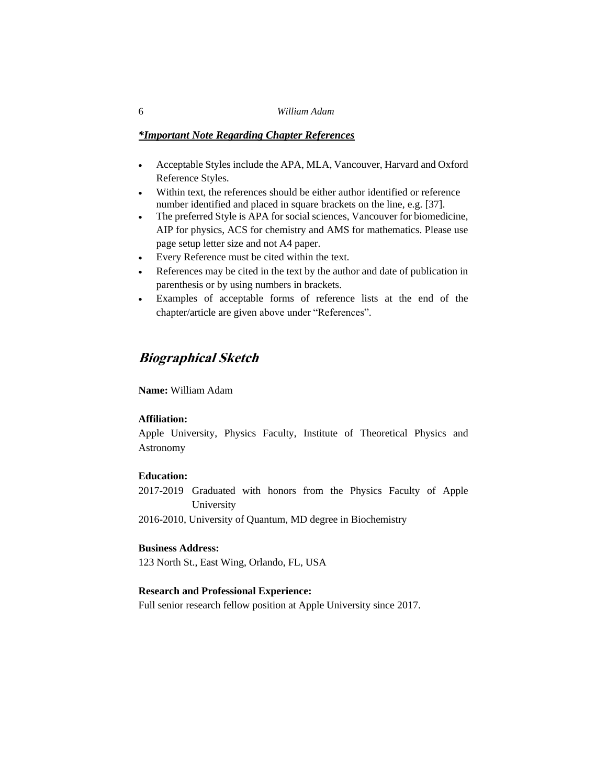#### 6 *William Adam*

### *\*Important Note Regarding Chapter References*

- Acceptable Styles include the APA, MLA, Vancouver, Harvard and Oxford Reference Styles.
- Within text, the references should be either author identified or reference number identified and placed in square brackets on the line, e.g. [37].
- The preferred Style is APA for social sciences, Vancouver for biomedicine, AIP for physics, ACS for chemistry and AMS for mathematics. Please use page setup letter size and not A4 paper.
- Every Reference must be cited within the text.
- References may be cited in the text by the author and date of publication in parenthesis or by using numbers in brackets.
- Examples of acceptable forms of reference lists at the end of the chapter/article are given above under "References".

### **Biographical Sketch**

**Name:** William Adam

### **Affiliation:**

Apple University, Physics Faculty, Institute of Theoretical Physics and Astronomy

### **Education:**

2017-2019 Graduated with honors from the Physics Faculty of Apple University

2016-2010, University of Quantum, MD degree in Biochemistry

### **Business Address:**

123 North St., East Wing, Orlando, FL, USA

### **Research and Professional Experience:**

Full senior research fellow position at Apple University since 2017.